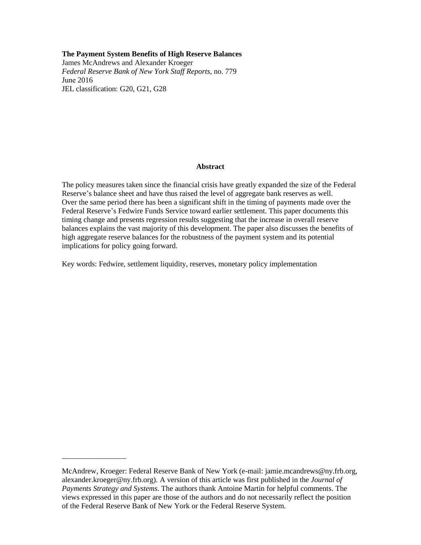#### **The Payment System Benefits of High Reserve Balances**

James McAndrews and Alexander Kroeger *Federal Reserve Bank of New York Staff Reports*, no. 779 June 2016 JEL classification: G20, G21, G28

#### **Abstract**

The policy measures taken since the financial crisis have greatly expanded the size of the Federal Reserve's balance sheet and have thus raised the level of aggregate bank reserves as well. Over the same period there has been a significant shift in the timing of payments made over the Federal Reserve's Fedwire Funds Service toward earlier settlement. This paper documents this timing change and presents regression results suggesting that the increase in overall reserve balances explains the vast majority of this development. The paper also discusses the benefits of high aggregate reserve balances for the robustness of the payment system and the potential implications for policy going forward.

Key words: Fedwire, settlement liquidity, reserves, monetary policy implementation

\_\_\_\_\_\_\_\_\_\_\_\_\_\_\_\_\_

McAndrew, Kroeger: Federal Reserve Bank of New York (e-mail: jamie.mcandrews@ny.frb.org, alexander.kroeger@ny.frb.org). A version of this article was first published in the *Journal of Payments Strategy and Systems*. The authors thank Antoine Martin for helpful comments. The views expressed in this paper are those of the authors and do not necessarily reflect the position of the Federal Reserve Bank of New York or the Federal Reserve System.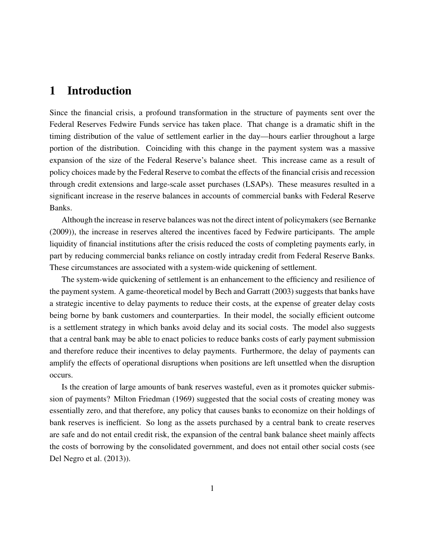## 1 Introduction

Since the financial crisis, a profound transformation in the structure of payments sent over the Federal Reserves Fedwire Funds service has taken place. That change is a dramatic shift in the timing distribution of the value of settlement earlier in the day—hours earlier throughout a large portion of the distribution. Coinciding with this change in the payment system was a massive expansion of the size of the Federal Reserve's balance sheet. This increase came as a result of policy choices made by the Federal Reserve to combat the effects of the financial crisis and recession through credit extensions and large-scale asset purchases (LSAPs). These measures resulted in a significant increase in the reserve balances in accounts of commercial banks with Federal Reserve Banks.

Although the increase in reserve balances was not the direct intent of policymakers (see [Bernanke](#page-19-0) [\(2009\)](#page-19-0)), the increase in reserves altered the incentives faced by Fedwire participants. The ample liquidity of financial institutions after the crisis reduced the costs of completing payments early, in part by reducing commercial banks reliance on costly intraday credit from Federal Reserve Banks. These circumstances are associated with a system-wide quickening of settlement.

The system-wide quickening of settlement is an enhancement to the efficiency and resilience of the payment system. A game-theoretical model by [Bech and Garratt](#page-19-1) [\(2003\)](#page-19-1) suggests that banks have a strategic incentive to delay payments to reduce their costs, at the expense of greater delay costs being borne by bank customers and counterparties. In their model, the socially efficient outcome is a settlement strategy in which banks avoid delay and its social costs. The model also suggests that a central bank may be able to enact policies to reduce banks costs of early payment submission and therefore reduce their incentives to delay payments. Furthermore, the delay of payments can amplify the effects of operational disruptions when positions are left unsettled when the disruption occurs.

Is the creation of large amounts of bank reserves wasteful, even as it promotes quicker submission of payments? Milton [Friedman](#page-19-2) [\(1969\)](#page-19-2) suggested that the social costs of creating money was essentially zero, and that therefore, any policy that causes banks to economize on their holdings of bank reserves is inefficient. So long as the assets purchased by a central bank to create reserves are safe and do not entail credit risk, the expansion of the central bank balance sheet mainly affects the costs of borrowing by the consolidated government, and does not entail other social costs (see [Del Negro et al.](#page-19-3) [\(2013\)](#page-19-3)).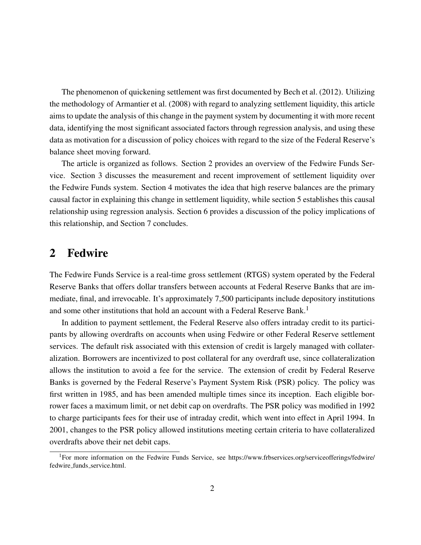The phenomenon of quickening settlement was first documented by [Bech et al.](#page-19-4) [\(2012\)](#page-19-4). Utilizing the methodology of [Armantier et al.](#page-19-5) [\(2008\)](#page-19-5) with regard to analyzing settlement liquidity, this article aims to update the analysis of this change in the payment system by documenting it with more recent data, identifying the most significant associated factors through regression analysis, and using these data as motivation for a discussion of policy choices with regard to the size of the Federal Reserve's balance sheet moving forward.

The article is organized as follows. Section [2](#page-3-0) provides an overview of the Fedwire Funds Service. Section [3](#page-4-0) discusses the measurement and recent improvement of settlement liquidity over the Fedwire Funds system. Section [4](#page-6-0) motivates the idea that high reserve balances are the primary causal factor in explaining this change in settlement liquidity, while section [5](#page-7-0) establishes this causal relationship using regression analysis. Section [6](#page-16-0) provides a discussion of the policy implications of this relationship, and Section [7](#page-18-0) concludes.

## <span id="page-3-0"></span>2 Fedwire

The Fedwire Funds Service is a real-time gross settlement (RTGS) system operated by the Federal Reserve Banks that offers dollar transfers between accounts at Federal Reserve Banks that are immediate, final, and irrevocable. It's approximately 7,500 participants include depository institutions and some other institutions that hold an account with a Federal Reserve Bank.<sup>[1](#page-3-1)</sup>

In addition to payment settlement, the Federal Reserve also offers intraday credit to its participants by allowing overdrafts on accounts when using Fedwire or other Federal Reserve settlement services. The default risk associated with this extension of credit is largely managed with collateralization. Borrowers are incentivized to post collateral for any overdraft use, since collateralization allows the institution to avoid a fee for the service. The extension of credit by Federal Reserve Banks is governed by the Federal Reserve's Payment System Risk (PSR) policy. The policy was first written in 1985, and has been amended multiple times since its inception. Each eligible borrower faces a maximum limit, or net debit cap on overdrafts. The PSR policy was modified in 1992 to charge participants fees for their use of intraday credit, which went into effect in April 1994. In 2001, changes to the PSR policy allowed institutions meeting certain criteria to have collateralized overdrafts above their net debit caps.

<span id="page-3-1"></span><sup>&</sup>lt;sup>1</sup>For more information on the Fedwire Funds Service, see [https://www.frbservices.org/serviceofferings/fedwire/](https://www.frbservices.org/serviceofferings/fedwire/fedwire_funds_service.html) fedwire funds [service.html.](https://www.frbservices.org/serviceofferings/fedwire/fedwire_funds_service.html)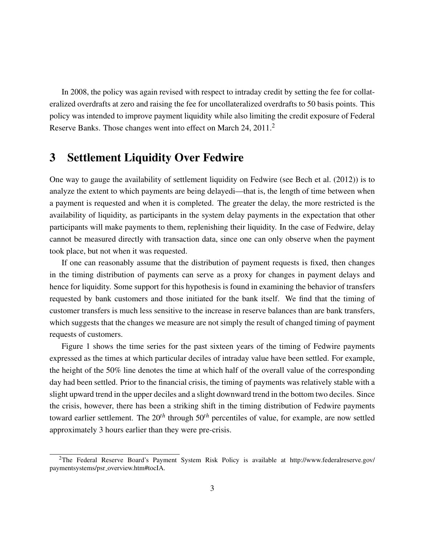In 2008, the policy was again revised with respect to intraday credit by setting the fee for collateralized overdrafts at zero and raising the fee for uncollateralized overdrafts to 50 basis points. This policy was intended to improve payment liquidity while also limiting the credit exposure of Federal Reserve Banks. Those changes went into effect on March [2](#page-4-1)4, 2011.<sup>2</sup>

# <span id="page-4-0"></span>3 Settlement Liquidity Over Fedwire

One way to gauge the availability of settlement liquidity on Fedwire (see [Bech et al.](#page-19-4) [\(2012\)](#page-19-4)) is to analyze the extent to which payments are being delayedi—that is, the length of time between when a payment is requested and when it is completed. The greater the delay, the more restricted is the availability of liquidity, as participants in the system delay payments in the expectation that other participants will make payments to them, replenishing their liquidity. In the case of Fedwire, delay cannot be measured directly with transaction data, since one can only observe when the payment took place, but not when it was requested.

If one can reasonably assume that the distribution of payment requests is fixed, then changes in the timing distribution of payments can serve as a proxy for changes in payment delays and hence for liquidity. Some support for this hypothesis is found in examining the behavior of transfers requested by bank customers and those initiated for the bank itself. We find that the timing of customer transfers is much less sensitive to the increase in reserve balances than are bank transfers, which suggests that the changes we measure are not simply the result of changed timing of payment requests of customers.

Figure [1](#page-5-0) shows the time series for the past sixteen years of the timing of Fedwire payments expressed as the times at which particular deciles of intraday value have been settled. For example, the height of the 50% line denotes the time at which half of the overall value of the corresponding day had been settled. Prior to the financial crisis, the timing of payments was relatively stable with a slight upward trend in the upper deciles and a slight downward trend in the bottom two deciles. Since the crisis, however, there has been a striking shift in the timing distribution of Fedwire payments toward earlier settlement. The 20*th* through 50*th* percentiles of value, for example, are now settled approximately 3 hours earlier than they were pre-crisis.

<span id="page-4-1"></span><sup>2</sup>The Federal Reserve Board's Payment System Risk Policy is available at [http://www.federalreserve.gov/](http://www.federalreserve.gov/paymentsystems/psr_overview.htm#tocIA) paymentsystems/psr\_[overview.htm#tocIA.](http://www.federalreserve.gov/paymentsystems/psr_overview.htm#tocIA)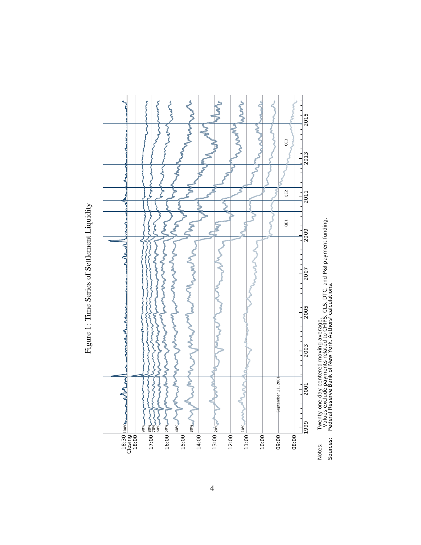<span id="page-5-0"></span>

Sources: Federal Reserve Bank of New York, Authors' calculations.

Figure 1: Time Series of Settlement Liquidity Figure 1: Time Series of Settlement Liquidity

4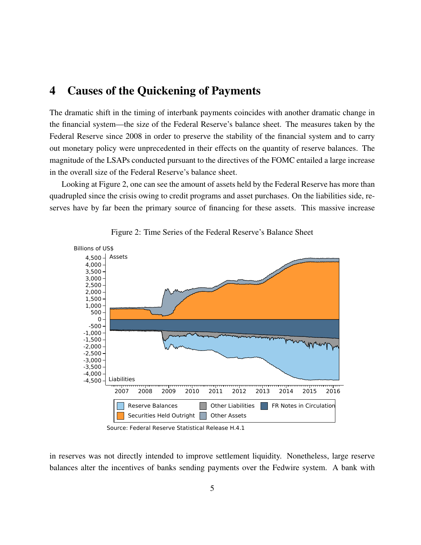## <span id="page-6-0"></span>4 Causes of the Quickening of Payments

The dramatic shift in the timing of interbank payments coincides with another dramatic change in the financial system—the size of the Federal Reserve's balance sheet. The measures taken by the Federal Reserve since 2008 in order to preserve the stability of the financial system and to carry out monetary policy were unprecedented in their effects on the quantity of reserve balances. The magnitude of the LSAPs conducted pursuant to the directives of the FOMC entailed a large increase in the overall size of the Federal Reserve's balance sheet.

Looking at Figure [2,](#page-6-1) one can see the amount of assets held by the Federal Reserve has more than quadrupled since the crisis owing to credit programs and asset purchases. On the liabilities side, reserves have by far been the primary source of financing for these assets. This massive increase



<span id="page-6-1"></span>Figure 2: Time Series of the Federal Reserve's Balance Sheet

in reserves was not directly intended to improve settlement liquidity. Nonetheless, large reserve balances alter the incentives of banks sending payments over the Fedwire system. A bank with

Source: Federal Reserve Statistical Release H.4.1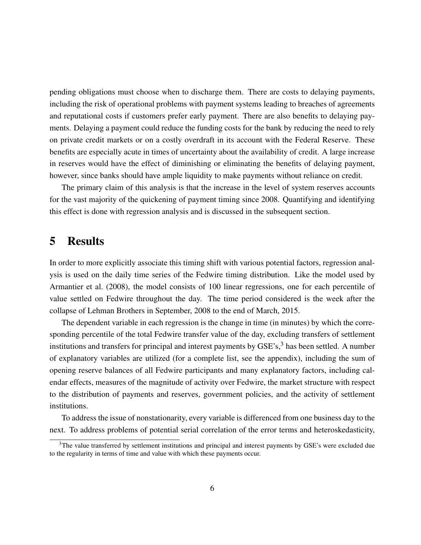pending obligations must choose when to discharge them. There are costs to delaying payments, including the risk of operational problems with payment systems leading to breaches of agreements and reputational costs if customers prefer early payment. There are also benefits to delaying payments. Delaying a payment could reduce the funding costs for the bank by reducing the need to rely on private credit markets or on a costly overdraft in its account with the Federal Reserve. These benefits are especially acute in times of uncertainty about the availability of credit. A large increase in reserves would have the effect of diminishing or eliminating the benefits of delaying payment, however, since banks should have ample liquidity to make payments without reliance on credit.

The primary claim of this analysis is that the increase in the level of system reserves accounts for the vast majority of the quickening of payment timing since 2008. Quantifying and identifying this effect is done with regression analysis and is discussed in the subsequent section.

# <span id="page-7-0"></span>5 Results

In order to more explicitly associate this timing shift with various potential factors, regression analysis is used on the daily time series of the Fedwire timing distribution. Like the model used by [Armantier et al.](#page-19-5) [\(2008\)](#page-19-5), the model consists of 100 linear regressions, one for each percentile of value settled on Fedwire throughout the day. The time period considered is the week after the collapse of Lehman Brothers in September, 2008 to the end of March, 2015.

The dependent variable in each regression is the change in time (in minutes) by which the corresponding percentile of the total Fedwire transfer value of the day, excluding transfers of settlement institutions and transfers for principal and interest payments by  $GSE's$ ,  $3$  has been settled. A number of explanatory variables are utilized (for a complete list, see the [appendix\)](#page-20-0), including the sum of opening reserve balances of all Fedwire participants and many explanatory factors, including calendar effects, measures of the magnitude of activity over Fedwire, the market structure with respect to the distribution of payments and reserves, government policies, and the activity of settlement institutions.

To address the issue of nonstationarity, every variable is differenced from one business day to the next. To address problems of potential serial correlation of the error terms and heteroskedasticity,

<span id="page-7-1"></span> $3$ The value transferred by settlement institutions and principal and interest payments by GSE's were excluded due to the regularity in terms of time and value with which these payments occur.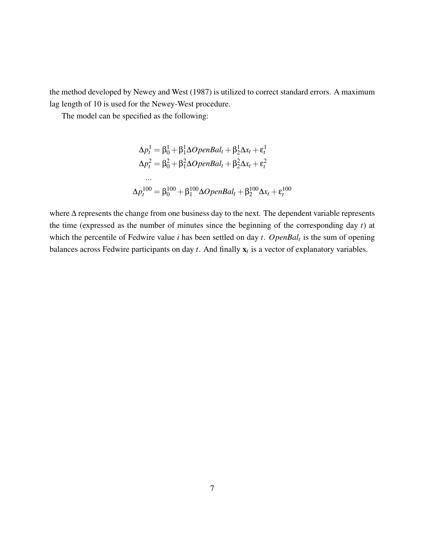the method developed by [Newey and West](#page-19-6) [\(1987\)](#page-19-6) is utilized to correct standard errors. A maximum lag length of 10 is used for the Newey-West procedure.

The model can be specified as the following:

$$
\Delta p_t^1 = \beta_0^1 + \beta_1^1 \Delta OpenBal_t + \beta_2^1 \Delta x_t + \varepsilon_t^1
$$
  
\n
$$
\Delta p_t^2 = \beta_0^2 + \beta_1^2 \Delta OpenBal_t + \beta_2^2 \Delta x_t + \varepsilon_t^2
$$
  
\n...  
\n
$$
\Delta p_t^{100} = \beta_0^{100} + \beta_1^{100} \Delta OpenBal_t + \beta_2^{100} \Delta x_t + \varepsilon_t^{100}
$$

where  $\Delta$  represents the change from one business day to the next. The dependent variable represents the time (expressed as the number of minutes since the beginning of the corresponding day *t*) at which the percentile of Fedwire value *i* has been settled on day *t*. *OpenBal<sup>t</sup>* is the sum of opening balances across Fedwire participants on day  $t$ . And finally  $\mathbf{x}_t$  is a vector of explanatory variables.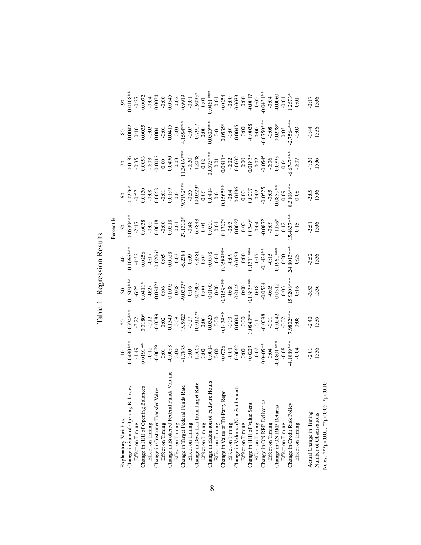<span id="page-9-0"></span>

|                                            |                                                                                                                                                                                                                                                                                                   |                                                                                                                                                                                                                                                                                  |                                                                                                                                                                                                                                                                       |                                                                                                                                                                                                                                                                                                              | Percentile                                                                                                                                                                                                                                                                                |                                                                                                                                                                                                                                                                                                                          |                                                                                                                                                                                                                                                                                                                   |                                                                                                                                                                                                                                                                                                                         |                                                                                                                                                                                                                                                                    |
|--------------------------------------------|---------------------------------------------------------------------------------------------------------------------------------------------------------------------------------------------------------------------------------------------------------------------------------------------------|----------------------------------------------------------------------------------------------------------------------------------------------------------------------------------------------------------------------------------------------------------------------------------|-----------------------------------------------------------------------------------------------------------------------------------------------------------------------------------------------------------------------------------------------------------------------|--------------------------------------------------------------------------------------------------------------------------------------------------------------------------------------------------------------------------------------------------------------------------------------------------------------|-------------------------------------------------------------------------------------------------------------------------------------------------------------------------------------------------------------------------------------------------------------------------------------------|--------------------------------------------------------------------------------------------------------------------------------------------------------------------------------------------------------------------------------------------------------------------------------------------------------------------------|-------------------------------------------------------------------------------------------------------------------------------------------------------------------------------------------------------------------------------------------------------------------------------------------------------------------|-------------------------------------------------------------------------------------------------------------------------------------------------------------------------------------------------------------------------------------------------------------------------------------------------------------------------|--------------------------------------------------------------------------------------------------------------------------------------------------------------------------------------------------------------------------------------------------------------------|
| Explanatory Variables                      | $\frac{10}{-0.0430***}$                                                                                                                                                                                                                                                                           | $\frac{20}{0.0794**}$                                                                                                                                                                                                                                                            | $30\,$                                                                                                                                                                                                                                                                |                                                                                                                                                                                                                                                                                                              | $\frac{50}{0.0539***}$                                                                                                                                                                                                                                                                    |                                                                                                                                                                                                                                                                                                                          |                                                                                                                                                                                                                                                                                                                   |                                                                                                                                                                                                                                                                                                                         | $\frac{90}{0.0108**}$                                                                                                                                                                                                                                              |
| Change in Sum of Opening Balances          |                                                                                                                                                                                                                                                                                                   |                                                                                                                                                                                                                                                                                  | $-0.1509***$                                                                                                                                                                                                                                                          | $\overline{0.1066}$ **                                                                                                                                                                                                                                                                                       |                                                                                                                                                                                                                                                                                           | $\begin{array}{r} 60 \\ -0.0226^* \\ -0.57 \\ -0.0130 \\ -0.0130 \\ -0.0130 \\ -0.0130 \\ -0.0130 \\ -0.019 \\ -0.0130 \\ -0.0130 \\ -0.0130 \\ -0.0130 \\ -0.0130 \\ -0.0020 \\ -0.0030 \\ -0.0030 \\ -0.0030 \\ -0.0030 \\ -0.0030 \\ -0.0030 \\ -0.0030 \\ -0.0030 \\ -0.0030 \\ -0.0030 \\ -0.0030 \\ -0.0030 \\ -0$ | $\begin{array}{r} 70 \\ 700137 \\ -0.0137 \\ -0.0053 \\ -0.0012 \\ -0.0012 \\ -0.0012 \\ -0.0003 \\ -0.0012 \\ -0.0003 \\ -0.0003 \\ -0.0003 \\ -0.0003 \\ -0.00000 \\ -0.00000 \\ -0.00000 \\ -0.00000 \\ -0.00000 \\ -0.00000 \\ -0.00000 \\ -0.00000 \\ -0.00000 \\ -0.00000 \\ -0.00000 \\ -0.0000 \\ -0.000$ | $\begin{array}{r} 80 \\ 0.0042 \\ 0.0035 \\ 0.0035 \\ -0.010 \\ -0.01 \\ 0.0035 \\ -0.01 \\ -0.791 \\ -0.791 \\ -0.035 \\ -0.0035 \\ -0.0035 \\ -0.0045 \\ -0.0045 \\ -0.0045 \\ -0.0045 \\ -0.0045 \\ -0.0045 \\ -0.0045 \\ -0.0045 \\ -0.0045 \\ -0.0045 \\ -0.0045 \\ -0.0045 \\ -0.0045 \\ -0.0045 \\ -0.0045 \\ -$ |                                                                                                                                                                                                                                                                    |
| Effect on Timing                           |                                                                                                                                                                                                                                                                                                   |                                                                                                                                                                                                                                                                                  |                                                                                                                                                                                                                                                                       |                                                                                                                                                                                                                                                                                                              |                                                                                                                                                                                                                                                                                           |                                                                                                                                                                                                                                                                                                                          |                                                                                                                                                                                                                                                                                                                   |                                                                                                                                                                                                                                                                                                                         |                                                                                                                                                                                                                                                                    |
| Change in HHI of Opening Balances          |                                                                                                                                                                                                                                                                                                   | 3:22<br>$-6.12$<br>$-6.13$<br>$-6.13$<br>$-6.13$<br>$-6.13$<br>$-6.13$<br>$-6.13$<br>$-6.13$<br>$-6.13$<br>$-6.13$<br>$-6.13$<br>$-6.13$<br>$-6.13$<br>$-6.13$<br>$-6.13$<br>$-6.13$<br>$-6.13$<br>$-6.13$<br>$-6.13$<br>$-6.13$<br>$-6.13$<br>$-6.13$<br>$-6.13$<br>$-6.13$<br> | $-6.25$<br>$-0.0242$<br>$-0.052$<br>$-0.0537$<br>$-0.0537$<br>$-0.0537$<br>$-0.0537$<br>$-0.0537$<br>$-0.0537$<br>$-0.0537$<br>$-0.0537$<br>$-0.054$<br>$-0.054$<br>$-0.054$<br>$-0.054$<br>$-0.052$<br>$-0.0537$<br>$-0.0537$<br>$-0.0537$<br>$-0.0537$<br>$-0.0537$ | $\begin{array}{l} 4.32\\ -0.0206\\ -0.0206\\ -0.0303\\ -0.0303\\ -0.0308\\ -0.0308\\ -0.0308\\ -0.0308\\ -0.0308\\ -0.0578\\ -0.0578\\ -0.0151\\ -0.1111\\ -0.1424**\\ -0.15\\ -0.1961***\\ -0.1961***\\ -0.1961***\\ -0.1961***\\ -0.1961***\\ -0.1961***\\ -0.1961***\\ -0.1961***\\ -0.1961***\\ -0.1961$ | $\begin{array}{l} 17 \\ 200038 \\ 0.00018 \\ 0.00018 \\ 0.0018 \\ 0.0018 \\ 0.0018 \\ 0.0018 \\ 0.0018 \\ 0.0018 \\ 0.0018 \\ 0.00034 \\ 0.00034 \\ 0.00034 \\ 0.00034 \\ 0.00034 \\ 0.00034 \\ 0.00034 \\ 0.00034 \\ 0.00034 \\ 0.00034 \\ 0.00034 \\ 0.00034 \\ 0.00034 \\ 0.00034 \\ $ |                                                                                                                                                                                                                                                                                                                          |                                                                                                                                                                                                                                                                                                                   |                                                                                                                                                                                                                                                                                                                         | $\begin{array}{l} 277\\ 0.0072\\ 0.0034\\ 0.0034\\ 0.0034\\ 0.0034\\ 0.0034\\ 0.0034\\ 0.0034\\ 0.0034\\ 0.004\\ 0.004\\ 0.0034\\ 0.004\\ 0.0034\\ 0.0034\\ 0.0034\\ 0.0034\\ 0.0034\\ 0.0034\\ 0.0034\\ 0.0034\\ 0.0034\\ 0.0034\\ 0.0034\\ 0.0034\\ 0.0034\\ 0.$ |
| Effect on Timing                           |                                                                                                                                                                                                                                                                                                   |                                                                                                                                                                                                                                                                                  |                                                                                                                                                                                                                                                                       |                                                                                                                                                                                                                                                                                                              |                                                                                                                                                                                                                                                                                           |                                                                                                                                                                                                                                                                                                                          |                                                                                                                                                                                                                                                                                                                   |                                                                                                                                                                                                                                                                                                                         |                                                                                                                                                                                                                                                                    |
| Change in Customer Transfer Value          |                                                                                                                                                                                                                                                                                                   |                                                                                                                                                                                                                                                                                  |                                                                                                                                                                                                                                                                       |                                                                                                                                                                                                                                                                                                              |                                                                                                                                                                                                                                                                                           |                                                                                                                                                                                                                                                                                                                          |                                                                                                                                                                                                                                                                                                                   |                                                                                                                                                                                                                                                                                                                         |                                                                                                                                                                                                                                                                    |
| Effect on Timing                           |                                                                                                                                                                                                                                                                                                   |                                                                                                                                                                                                                                                                                  |                                                                                                                                                                                                                                                                       |                                                                                                                                                                                                                                                                                                              |                                                                                                                                                                                                                                                                                           |                                                                                                                                                                                                                                                                                                                          |                                                                                                                                                                                                                                                                                                                   |                                                                                                                                                                                                                                                                                                                         |                                                                                                                                                                                                                                                                    |
| Volume<br>Change in Brokered Federal Funds |                                                                                                                                                                                                                                                                                                   |                                                                                                                                                                                                                                                                                  |                                                                                                                                                                                                                                                                       |                                                                                                                                                                                                                                                                                                              |                                                                                                                                                                                                                                                                                           |                                                                                                                                                                                                                                                                                                                          |                                                                                                                                                                                                                                                                                                                   |                                                                                                                                                                                                                                                                                                                         |                                                                                                                                                                                                                                                                    |
| Effect on Timing                           |                                                                                                                                                                                                                                                                                                   |                                                                                                                                                                                                                                                                                  |                                                                                                                                                                                                                                                                       |                                                                                                                                                                                                                                                                                                              |                                                                                                                                                                                                                                                                                           |                                                                                                                                                                                                                                                                                                                          |                                                                                                                                                                                                                                                                                                                   |                                                                                                                                                                                                                                                                                                                         |                                                                                                                                                                                                                                                                    |
| Change in Target Federal Funds Rate        |                                                                                                                                                                                                                                                                                                   |                                                                                                                                                                                                                                                                                  |                                                                                                                                                                                                                                                                       |                                                                                                                                                                                                                                                                                                              |                                                                                                                                                                                                                                                                                           |                                                                                                                                                                                                                                                                                                                          |                                                                                                                                                                                                                                                                                                                   |                                                                                                                                                                                                                                                                                                                         |                                                                                                                                                                                                                                                                    |
| Effect on Timing                           |                                                                                                                                                                                                                                                                                                   |                                                                                                                                                                                                                                                                                  |                                                                                                                                                                                                                                                                       |                                                                                                                                                                                                                                                                                                              |                                                                                                                                                                                                                                                                                           |                                                                                                                                                                                                                                                                                                                          |                                                                                                                                                                                                                                                                                                                   |                                                                                                                                                                                                                                                                                                                         |                                                                                                                                                                                                                                                                    |
| Change in Deviation from Target Rate       |                                                                                                                                                                                                                                                                                                   |                                                                                                                                                                                                                                                                                  |                                                                                                                                                                                                                                                                       |                                                                                                                                                                                                                                                                                                              |                                                                                                                                                                                                                                                                                           |                                                                                                                                                                                                                                                                                                                          |                                                                                                                                                                                                                                                                                                                   |                                                                                                                                                                                                                                                                                                                         |                                                                                                                                                                                                                                                                    |
| Effect on Timing                           |                                                                                                                                                                                                                                                                                                   |                                                                                                                                                                                                                                                                                  |                                                                                                                                                                                                                                                                       |                                                                                                                                                                                                                                                                                                              |                                                                                                                                                                                                                                                                                           |                                                                                                                                                                                                                                                                                                                          |                                                                                                                                                                                                                                                                                                                   |                                                                                                                                                                                                                                                                                                                         |                                                                                                                                                                                                                                                                    |
| Change in Extension of Fedwire Hours       |                                                                                                                                                                                                                                                                                                   |                                                                                                                                                                                                                                                                                  |                                                                                                                                                                                                                                                                       |                                                                                                                                                                                                                                                                                                              |                                                                                                                                                                                                                                                                                           |                                                                                                                                                                                                                                                                                                                          |                                                                                                                                                                                                                                                                                                                   |                                                                                                                                                                                                                                                                                                                         |                                                                                                                                                                                                                                                                    |
| Effect on Timing                           |                                                                                                                                                                                                                                                                                                   |                                                                                                                                                                                                                                                                                  |                                                                                                                                                                                                                                                                       |                                                                                                                                                                                                                                                                                                              |                                                                                                                                                                                                                                                                                           |                                                                                                                                                                                                                                                                                                                          |                                                                                                                                                                                                                                                                                                                   |                                                                                                                                                                                                                                                                                                                         |                                                                                                                                                                                                                                                                    |
| Change in Value of Tri-Party Repo          |                                                                                                                                                                                                                                                                                                   |                                                                                                                                                                                                                                                                                  |                                                                                                                                                                                                                                                                       |                                                                                                                                                                                                                                                                                                              |                                                                                                                                                                                                                                                                                           |                                                                                                                                                                                                                                                                                                                          |                                                                                                                                                                                                                                                                                                                   |                                                                                                                                                                                                                                                                                                                         |                                                                                                                                                                                                                                                                    |
| Effect on Timing                           |                                                                                                                                                                                                                                                                                                   |                                                                                                                                                                                                                                                                                  |                                                                                                                                                                                                                                                                       |                                                                                                                                                                                                                                                                                                              |                                                                                                                                                                                                                                                                                           |                                                                                                                                                                                                                                                                                                                          |                                                                                                                                                                                                                                                                                                                   |                                                                                                                                                                                                                                                                                                                         |                                                                                                                                                                                                                                                                    |
| Change in Volume (Non-Settlement)          |                                                                                                                                                                                                                                                                                                   |                                                                                                                                                                                                                                                                                  |                                                                                                                                                                                                                                                                       |                                                                                                                                                                                                                                                                                                              |                                                                                                                                                                                                                                                                                           |                                                                                                                                                                                                                                                                                                                          |                                                                                                                                                                                                                                                                                                                   |                                                                                                                                                                                                                                                                                                                         |                                                                                                                                                                                                                                                                    |
| Effect on Timing                           |                                                                                                                                                                                                                                                                                                   |                                                                                                                                                                                                                                                                                  |                                                                                                                                                                                                                                                                       |                                                                                                                                                                                                                                                                                                              |                                                                                                                                                                                                                                                                                           |                                                                                                                                                                                                                                                                                                                          |                                                                                                                                                                                                                                                                                                                   |                                                                                                                                                                                                                                                                                                                         |                                                                                                                                                                                                                                                                    |
| Change in HHI of Value Sent                |                                                                                                                                                                                                                                                                                                   |                                                                                                                                                                                                                                                                                  |                                                                                                                                                                                                                                                                       |                                                                                                                                                                                                                                                                                                              |                                                                                                                                                                                                                                                                                           |                                                                                                                                                                                                                                                                                                                          |                                                                                                                                                                                                                                                                                                                   |                                                                                                                                                                                                                                                                                                                         |                                                                                                                                                                                                                                                                    |
| Effect on Timing                           |                                                                                                                                                                                                                                                                                                   |                                                                                                                                                                                                                                                                                  |                                                                                                                                                                                                                                                                       |                                                                                                                                                                                                                                                                                                              |                                                                                                                                                                                                                                                                                           |                                                                                                                                                                                                                                                                                                                          |                                                                                                                                                                                                                                                                                                                   |                                                                                                                                                                                                                                                                                                                         |                                                                                                                                                                                                                                                                    |
| Change in ON RRP Deliveries                |                                                                                                                                                                                                                                                                                                   |                                                                                                                                                                                                                                                                                  |                                                                                                                                                                                                                                                                       |                                                                                                                                                                                                                                                                                                              |                                                                                                                                                                                                                                                                                           |                                                                                                                                                                                                                                                                                                                          |                                                                                                                                                                                                                                                                                                                   |                                                                                                                                                                                                                                                                                                                         |                                                                                                                                                                                                                                                                    |
| Effect on Timing                           |                                                                                                                                                                                                                                                                                                   |                                                                                                                                                                                                                                                                                  |                                                                                                                                                                                                                                                                       |                                                                                                                                                                                                                                                                                                              |                                                                                                                                                                                                                                                                                           |                                                                                                                                                                                                                                                                                                                          |                                                                                                                                                                                                                                                                                                                   |                                                                                                                                                                                                                                                                                                                         |                                                                                                                                                                                                                                                                    |
| Change in ON RRP Returns                   |                                                                                                                                                                                                                                                                                                   |                                                                                                                                                                                                                                                                                  |                                                                                                                                                                                                                                                                       |                                                                                                                                                                                                                                                                                                              |                                                                                                                                                                                                                                                                                           |                                                                                                                                                                                                                                                                                                                          |                                                                                                                                                                                                                                                                                                                   |                                                                                                                                                                                                                                                                                                                         |                                                                                                                                                                                                                                                                    |
| Effect on Timing                           |                                                                                                                                                                                                                                                                                                   |                                                                                                                                                                                                                                                                                  |                                                                                                                                                                                                                                                                       |                                                                                                                                                                                                                                                                                                              |                                                                                                                                                                                                                                                                                           |                                                                                                                                                                                                                                                                                                                          |                                                                                                                                                                                                                                                                                                                   |                                                                                                                                                                                                                                                                                                                         |                                                                                                                                                                                                                                                                    |
| Change in Credit Risk Policy               |                                                                                                                                                                                                                                                                                                   |                                                                                                                                                                                                                                                                                  |                                                                                                                                                                                                                                                                       |                                                                                                                                                                                                                                                                                                              |                                                                                                                                                                                                                                                                                           |                                                                                                                                                                                                                                                                                                                          |                                                                                                                                                                                                                                                                                                                   |                                                                                                                                                                                                                                                                                                                         |                                                                                                                                                                                                                                                                    |
| Effect on Timing                           | $\begin{array}{cccc} +149\\ -0191\\ -0193\\ -0.0039\\ -0.0039\\ -0.0039\\ -0.0039\\ -0.0039\\ -0.0039\\ -0.0039\\ -0.0030\\ -0.0030\\ -0.0030\\ -0.0030\\ -0.0030\\ -0.0030\\ -0.0030\\ -0.0030\\ -0.0030\\ -0.0030\\ -0.0030\\ -0.0030\\ -0.0030\\ -0.0030\\ -0.0030\\ -0.0030\\ -0.0030\\ -0.0$ |                                                                                                                                                                                                                                                                                  |                                                                                                                                                                                                                                                                       | 0:25                                                                                                                                                                                                                                                                                                         |                                                                                                                                                                                                                                                                                           | $0:08$                                                                                                                                                                                                                                                                                                                   |                                                                                                                                                                                                                                                                                                                   |                                                                                                                                                                                                                                                                                                                         |                                                                                                                                                                                                                                                                    |
| Actual Change in Timing                    |                                                                                                                                                                                                                                                                                                   | $-2:40$<br>1536                                                                                                                                                                                                                                                                  | $-3:53$                                                                                                                                                                                                                                                               | $-3:52$<br>1536                                                                                                                                                                                                                                                                                              |                                                                                                                                                                                                                                                                                           |                                                                                                                                                                                                                                                                                                                          |                                                                                                                                                                                                                                                                                                                   |                                                                                                                                                                                                                                                                                                                         |                                                                                                                                                                                                                                                                    |
| Number of Observations                     | $-2.00$<br>1536                                                                                                                                                                                                                                                                                   |                                                                                                                                                                                                                                                                                  |                                                                                                                                                                                                                                                                       |                                                                                                                                                                                                                                                                                                              | $-2:51$<br>1536                                                                                                                                                                                                                                                                           | $-2.05$<br>1536                                                                                                                                                                                                                                                                                                          | $-1:20$<br>1536                                                                                                                                                                                                                                                                                                   | $-0:44$<br>1536                                                                                                                                                                                                                                                                                                         | $-0.17$<br>1536                                                                                                                                                                                                                                                    |
| Notes: ***p<0.01, **p<0.05, *p<0.10        |                                                                                                                                                                                                                                                                                                   |                                                                                                                                                                                                                                                                                  |                                                                                                                                                                                                                                                                       |                                                                                                                                                                                                                                                                                                              |                                                                                                                                                                                                                                                                                           |                                                                                                                                                                                                                                                                                                                          |                                                                                                                                                                                                                                                                                                                   |                                                                                                                                                                                                                                                                                                                         |                                                                                                                                                                                                                                                                    |

Table 1: Regression Results Table 1: Regression Results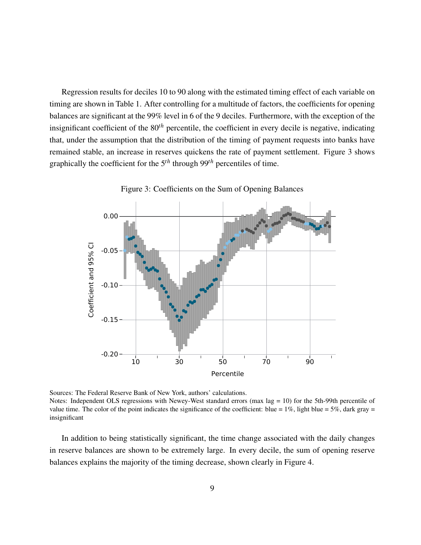Regression results for deciles 10 to 90 along with the estimated timing effect of each variable on timing are shown in Table [1.](#page-9-0) After controlling for a multitude of factors, the coefficients for opening balances are significant at the 99% level in 6 of the 9 deciles. Furthermore, with the exception of the insignificant coefficient of the 80*th* percentile, the coefficient in every decile is negative, indicating that, under the assumption that the distribution of the timing of payment requests into banks have remained stable, an increase in reserves quickens the rate of payment settlement. Figure [3](#page-10-0) shows graphically the coefficient for the 5*th* through 99*th* percentiles of time.



<span id="page-10-0"></span>Figure 3: Coefficients on the Sum of Opening Balances

Sources: The Federal Reserve Bank of New York, authors' calculations. Notes: Independent OLS regressions with Newey-West standard errors (max lag = 10) for the 5th-99th percentile of value time. The color of the point indicates the significance of the coefficient: blue =  $1\%$ , light blue =  $5\%$ , dark gray = insignificant

In addition to being statistically significant, the time change associated with the daily changes in reserve balances are shown to be extremely large. In every decile, the sum of opening reserve balances explains the majority of the timing decrease, shown clearly in Figure [4.](#page-11-0)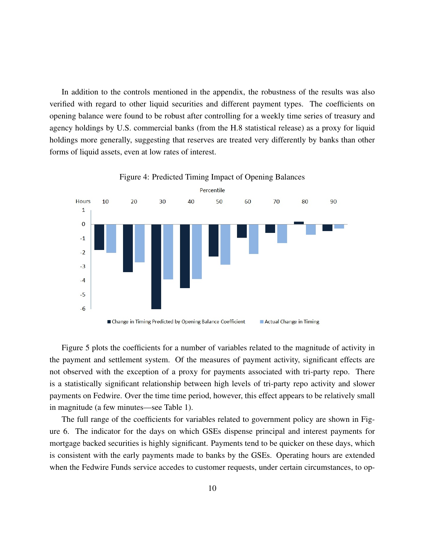In addition to the controls mentioned in the appendix, the robustness of the results was also verified with regard to other liquid securities and different payment types. The coefficients on opening balance were found to be robust after controlling for a weekly time series of treasury and agency holdings by U.S. commercial banks (from the H.8 statistical release) as a proxy for liquid holdings more generally, suggesting that reserves are treated very differently by banks than other forms of liquid assets, even at low rates of interest.



<span id="page-11-0"></span>Figure 4: Predicted Timing Impact of Opening Balances

Figure [5](#page-12-0) plots the coefficients for a number of variables related to the magnitude of activity in the payment and settlement system. Of the measures of payment activity, significant effects are not observed with the exception of a proxy for payments associated with tri-party repo. There is a statistically significant relationship between high levels of tri-party repo activity and slower payments on Fedwire. Over the time time period, however, this effect appears to be relatively small in magnitude (a few minutes—see Table [1\)](#page-9-0).

The full range of the coefficients for variables related to government policy are shown in Figure [6.](#page-13-0) The indicator for the days on which GSEs dispense principal and interest payments for mortgage backed securities is highly significant. Payments tend to be quicker on these days, which is consistent with the early payments made to banks by the GSEs. Operating hours are extended when the Fedwire Funds service accedes to customer requests, under certain circumstances, to op-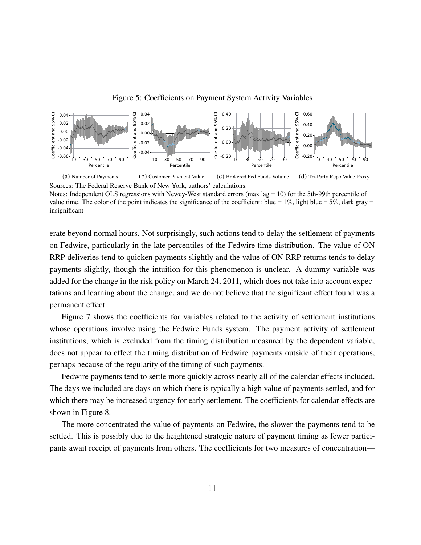

<span id="page-12-0"></span>Figure 5: Coefficients on Payment System Activity Variables

Sources: The Federal Reserve Bank of New York, authors' calculations. Notes: Independent OLS regressions with Newey-West standard errors (max lag = 10) for the 5th-99th percentile of value time. The color of the point indicates the significance of the coefficient: blue =  $1\%$ , light blue =  $5\%$ , dark gray =

insignificant

erate beyond normal hours. Not surprisingly, such actions tend to delay the settlement of payments on Fedwire, particularly in the late percentiles of the Fedwire time distribution. The value of ON RRP deliveries tend to quicken payments slightly and the value of ON RRP returns tends to delay payments slightly, though the intuition for this phenomenon is unclear. A dummy variable was added for the change in the risk policy on March 24, 2011, which does not take into account expectations and learning about the change, and we do not believe that the significant effect found was a permanent effect.

Figure [7](#page-14-0) shows the coefficients for variables related to the activity of settlement institutions whose operations involve using the Fedwire Funds system. The payment activity of settlement institutions, which is excluded from the timing distribution measured by the dependent variable, does not appear to effect the timing distribution of Fedwire payments outside of their operations, perhaps because of the regularity of the timing of such payments.

Fedwire payments tend to settle more quickly across nearly all of the calendar effects included. The days we included are days on which there is typically a high value of payments settled, and for which there may be increased urgency for early settlement. The coefficients for calendar effects are shown in Figure [8.](#page-15-0)

The more concentrated the value of payments on Fedwire, the slower the payments tend to be settled. This is possibly due to the heightened strategic nature of payment timing as fewer participants await receipt of payments from others. The coefficients for two measures of concentration—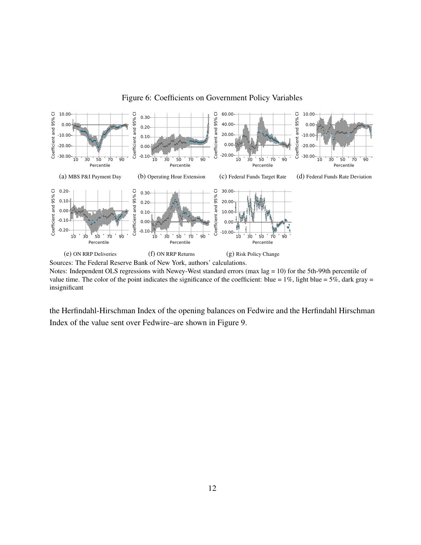

#### <span id="page-13-0"></span>Figure 6: Coefficients on Government Policy Variables

Notes: Independent OLS regressions with Newey-West standard errors (max lag = 10) for the 5th-99th percentile of value time. The color of the point indicates the significance of the coefficient: blue =  $1\%$ , light blue =  $5\%$ , dark gray = insignificant

the Herfindahl-Hirschman Index of the opening balances on Fedwire and the Herfindahl Hirschman Index of the value sent over Fedwire–are shown in Figure [9.](#page-15-1)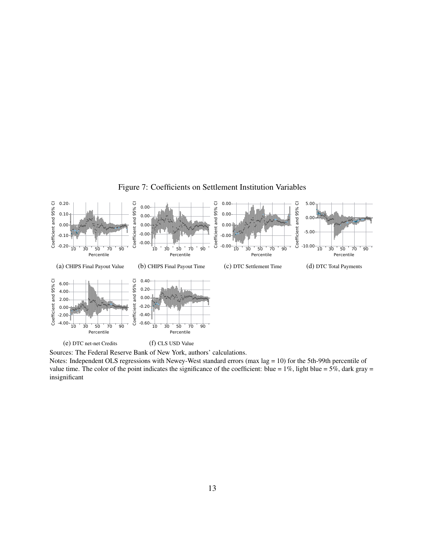

<span id="page-14-0"></span>Figure 7: Coefficients on Settlement Institution Variables

Sources: The Federal Reserve Bank of New York, authors' calculations.

Notes: Independent OLS regressions with Newey-West standard errors (max lag = 10) for the 5th-99th percentile of value time. The color of the point indicates the significance of the coefficient: blue =  $1\%$ , light blue =  $5\%$ , dark gray = insignificant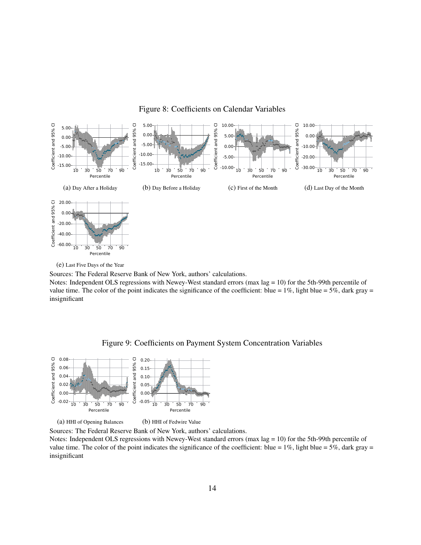

#### <span id="page-15-0"></span>Figure 8: Coefficients on Calendar Variables

(e) Last Five Days of the Year

Sources: The Federal Reserve Bank of New York, authors' calculations.

Notes: Independent OLS regressions with Newey-West standard errors (max lag = 10) for the 5th-99th percentile of value time. The color of the point indicates the significance of the coefficient: blue =  $1\%$ , light blue =  $5\%$ , dark gray = insignificant

Percentile

<span id="page-15-1"></span>



(a) HHI of Opening Balances (b) HHI of Fedwire Value

Sources: The Federal Reserve Bank of New York, authors' calculations.

Notes: Independent OLS regressions with Newey-West standard errors (max lag = 10) for the 5th-99th percentile of value time. The color of the point indicates the significance of the coefficient: blue =  $1\%$ , light blue =  $5\%$ , dark gray = insignificant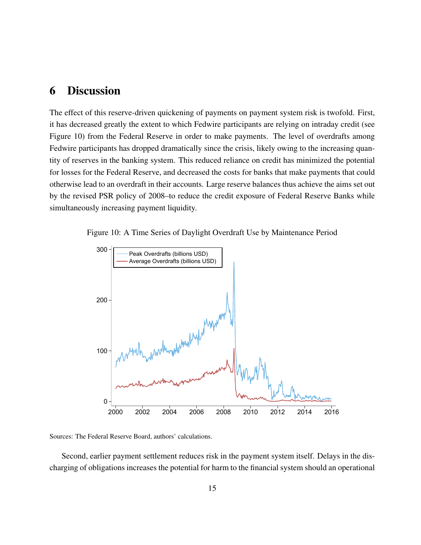# <span id="page-16-0"></span>6 Discussion

The effect of this reserve-driven quickening of payments on payment system risk is twofold. First, it has decreased greatly the extent to which Fedwire participants are relying on intraday credit (see Figure [10\)](#page-16-1) from the Federal Reserve in order to make payments. The level of overdrafts among Fedwire participants has dropped dramatically since the crisis, likely owing to the increasing quantity of reserves in the banking system. This reduced reliance on credit has minimized the potential for losses for the Federal Reserve, and decreased the costs for banks that make payments that could otherwise lead to an overdraft in their accounts. Large reserve balances thus achieve the aims set out by the revised PSR policy of 2008–to reduce the credit exposure of Federal Reserve Banks while simultaneously increasing payment liquidity.

<span id="page-16-1"></span>

Figure 10: A Time Series of Daylight Overdraft Use by Maintenance Period

Sources: The Federal Reserve Board, authors' calculations.

Second, earlier payment settlement reduces risk in the payment system itself. Delays in the discharging of obligations increases the potential for harm to the financial system should an operational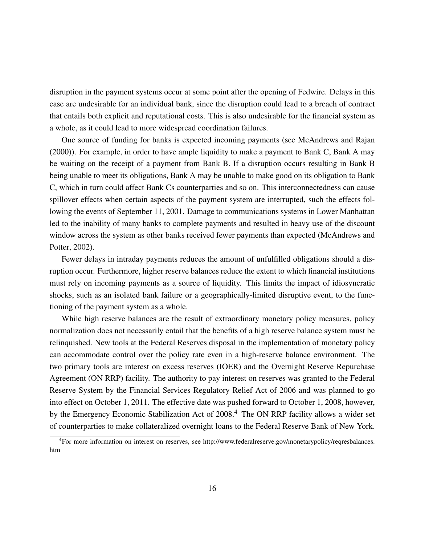disruption in the payment systems occur at some point after the opening of Fedwire. Delays in this case are undesirable for an individual bank, since the disruption could lead to a breach of contract that entails both explicit and reputational costs. This is also undesirable for the financial system as a whole, as it could lead to more widespread coordination failures.

One source of funding for banks is expected incoming payments (see [McAndrews and Rajan](#page-19-7) [\(2000\)](#page-19-7)). For example, in order to have ample liquidity to make a payment to Bank C, Bank A may be waiting on the receipt of a payment from Bank B. If a disruption occurs resulting in Bank B being unable to meet its obligations, Bank A may be unable to make good on its obligation to Bank C, which in turn could affect Bank Cs counterparties and so on. This interconnectedness can cause spillover effects when certain aspects of the payment system are interrupted, such the effects following the events of September 11, 2001. Damage to communications systems in Lower Manhattan led to the inability of many banks to complete payments and resulted in heavy use of the discount window across the system as other banks received fewer payments than expected [\(McAndrews and](#page-19-8) [Potter, 2002\)](#page-19-8).

Fewer delays in intraday payments reduces the amount of unfulfilled obligations should a disruption occur. Furthermore, higher reserve balances reduce the extent to which financial institutions must rely on incoming payments as a source of liquidity. This limits the impact of idiosyncratic shocks, such as an isolated bank failure or a geographically-limited disruptive event, to the functioning of the payment system as a whole.

While high reserve balances are the result of extraordinary monetary policy measures, policy normalization does not necessarily entail that the benefits of a high reserve balance system must be relinquished. New tools at the Federal Reserves disposal in the implementation of monetary policy can accommodate control over the policy rate even in a high-reserve balance environment. The two primary tools are interest on excess reserves (IOER) and the Overnight Reserve Repurchase Agreement (ON RRP) facility. The authority to pay interest on reserves was granted to the Federal Reserve System by the Financial Services Regulatory Relief Act of 2006 and was planned to go into effect on October 1, 2011. The effective date was pushed forward to October 1, 2008, however, by the Emergency Economic Stabilization Act of 2008.<sup>[4](#page-17-0)</sup> The ON RRP facility allows a wider set of counterparties to make collateralized overnight loans to the Federal Reserve Bank of New York.

<span id="page-17-0"></span><sup>4</sup>For more information on interest on reserves, see [http://www.federalreserve.gov/monetarypolicy/reqresbalances.](http://www.federalreserve.gov/monetarypolicy/reqresbalances.htm) [htm](http://www.federalreserve.gov/monetarypolicy/reqresbalances.htm)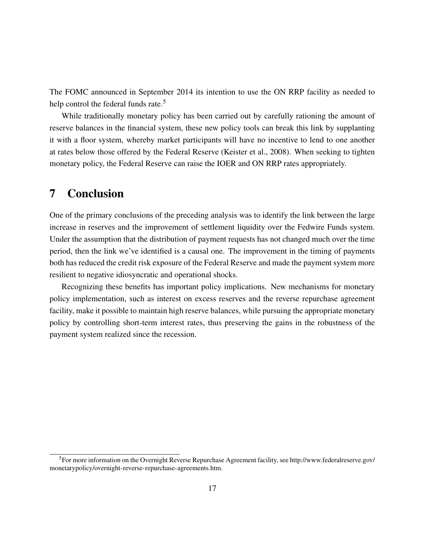The FOMC announced in September 2014 its intention to use the ON RRP facility as needed to help control the federal funds rate.<sup>[5](#page-18-1)</sup>

While traditionally monetary policy has been carried out by carefully rationing the amount of reserve balances in the financial system, these new policy tools can break this link by supplanting it with a floor system, whereby market participants will have no incentive to lend to one another at rates below those offered by the Federal Reserve [\(Keister et al., 2008\)](#page-19-9). When seeking to tighten monetary policy, the Federal Reserve can raise the IOER and ON RRP rates appropriately.

# <span id="page-18-0"></span>7 Conclusion

One of the primary conclusions of the preceding analysis was to identify the link between the large increase in reserves and the improvement of settlement liquidity over the Fedwire Funds system. Under the assumption that the distribution of payment requests has not changed much over the time period, then the link we've identified is a causal one. The improvement in the timing of payments both has reduced the credit risk exposure of the Federal Reserve and made the payment system more resilient to negative idiosyncratic and operational shocks.

Recognizing these benefits has important policy implications. New mechanisms for monetary policy implementation, such as interest on excess reserves and the reverse repurchase agreement facility, make it possible to maintain high reserve balances, while pursuing the appropriate monetary policy by controlling short-term interest rates, thus preserving the gains in the robustness of the payment system realized since the recession.

<span id="page-18-1"></span><sup>5</sup>For more information on the Overnight Reverse Repurchase Agreement facility, see [http://www.federalreserve.gov/](http://www.federalreserve.gov/monetarypolicy/overnight-reverse-repurchase-agreements.htm) [monetarypolicy/overnight-reverse-repurchase-agreements.htm.](http://www.federalreserve.gov/monetarypolicy/overnight-reverse-repurchase-agreements.htm)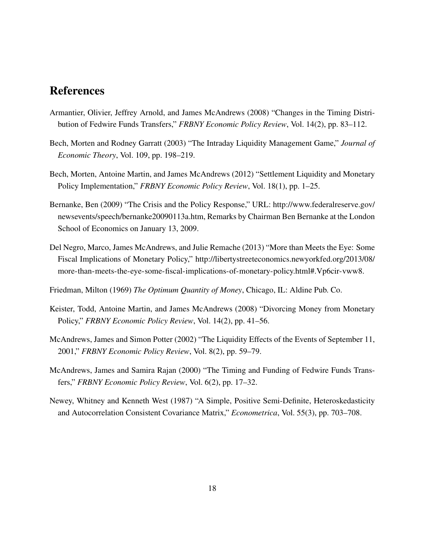# References

- <span id="page-19-5"></span>Armantier, Olivier, Jeffrey Arnold, and James McAndrews (2008) "Changes in the Timing Distribution of Fedwire Funds Transfers," *FRBNY Economic Policy Review*, Vol. 14(2), pp. 83–112.
- <span id="page-19-1"></span>Bech, Morten and Rodney Garratt (2003) "The Intraday Liquidity Management Game," *Journal of Economic Theory*, Vol. 109, pp. 198–219.
- <span id="page-19-4"></span>Bech, Morten, Antoine Martin, and James McAndrews (2012) "Settlement Liquidity and Monetary Policy Implementation," *FRBNY Economic Policy Review*, Vol. 18(1), pp. 1–25.
- <span id="page-19-0"></span>Bernanke, Ben (2009) "The Crisis and the Policy Response," URL: [http://www.federalreserve.gov/](http://www.federalreserve.gov/newsevents/speech/bernanke20090113a.htm) [newsevents/speech/bernanke20090113a.htm,](http://www.federalreserve.gov/newsevents/speech/bernanke20090113a.htm) Remarks by Chairman Ben Bernanke at the London School of Economics on January 13, 2009.
- <span id="page-19-3"></span>Del Negro, Marco, James McAndrews, and Julie Remache (2013) "More than Meets the Eye: Some Fiscal Implications of Monetary Policy," [http://libertystreeteconomics.newyorkfed.org/2013/08/](http://libertystreeteconomics.newyorkfed.org/2013/08/more-than-meets-the-eye-some-fiscal-implications-of-monetary-policy.html#.Vp6cir-vww8) [more-than-meets-the-eye-some-fiscal-implications-of-monetary-policy.html#.Vp6cir-vww8.](http://libertystreeteconomics.newyorkfed.org/2013/08/more-than-meets-the-eye-some-fiscal-implications-of-monetary-policy.html#.Vp6cir-vww8)
- <span id="page-19-2"></span>Friedman, Milton (1969) *The Optimum Quantity of Money*, Chicago, IL: Aldine Pub. Co.
- <span id="page-19-9"></span>Keister, Todd, Antoine Martin, and James McAndrews (2008) "Divorcing Money from Monetary Policy," *FRBNY Economic Policy Review*, Vol. 14(2), pp. 41–56.
- <span id="page-19-8"></span>McAndrews, James and Simon Potter (2002) "The Liquidity Effects of the Events of September 11, 2001," *FRBNY Economic Policy Review*, Vol. 8(2), pp. 59–79.
- <span id="page-19-7"></span>McAndrews, James and Samira Rajan (2000) "The Timing and Funding of Fedwire Funds Transfers," *FRBNY Economic Policy Review*, Vol. 6(2), pp. 17–32.
- <span id="page-19-6"></span>Newey, Whitney and Kenneth West (1987) "A Simple, Positive Semi-Definite, Heteroskedasticity and Autocorrelation Consistent Covariance Matrix," *Econometrica*, Vol. 55(3), pp. 703–708.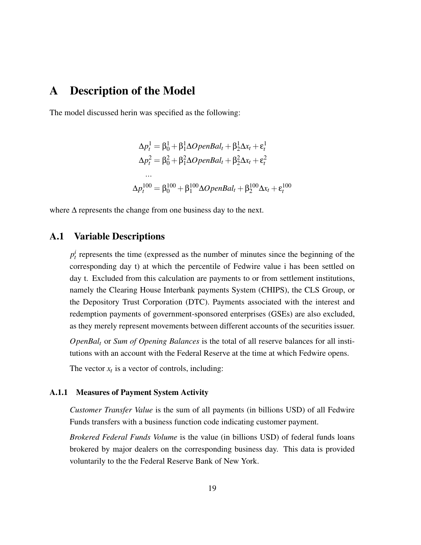## <span id="page-20-0"></span>A Description of the Model

The model discussed herin was specified as the following:

$$
\Delta p_t^1 = \beta_0^1 + \beta_1^1 \Delta OpenBal_t + \beta_2^1 \Delta x_t + \varepsilon_t^1
$$
  
\n
$$
\Delta p_t^2 = \beta_0^2 + \beta_1^2 \Delta OpenBal_t + \beta_2^2 \Delta x_t + \varepsilon_t^2
$$
  
\n...  
\n
$$
\Delta p_t^{100} = \beta_0^{100} + \beta_1^{100} \Delta OpenBal_t + \beta_2^{100} \Delta x_t + \varepsilon_t^{100}
$$

where  $\Delta$  represents the change from one business day to the next.

### A.1 Variable Descriptions

 $p_t^i$  represents the time (expressed as the number of minutes since the beginning of the corresponding day t) at which the percentile of Fedwire value i has been settled on day t. Excluded from this calculation are payments to or from settlement institutions, namely the Clearing House Interbank payments System (CHIPS), the CLS Group, or the Depository Trust Corporation (DTC). Payments associated with the interest and redemption payments of government-sponsored enterprises (GSEs) are also excluded, as they merely represent movements between different accounts of the securities issuer.

*OpenBal<sup>t</sup>* or *Sum of Opening Balances* is the total of all reserve balances for all institutions with an account with the Federal Reserve at the time at which Fedwire opens.

The vector  $x_t$  is a vector of controls, including:

#### A.1.1 Measures of Payment System Activity

*Customer Transfer Value* is the sum of all payments (in billions USD) of all Fedwire Funds transfers with a business function code indicating customer payment.

*Brokered Federal Funds Volume* is the value (in billions USD) of federal funds loans brokered by major dealers on the corresponding business day. This data is provided voluntarily to the the Federal Reserve Bank of New York.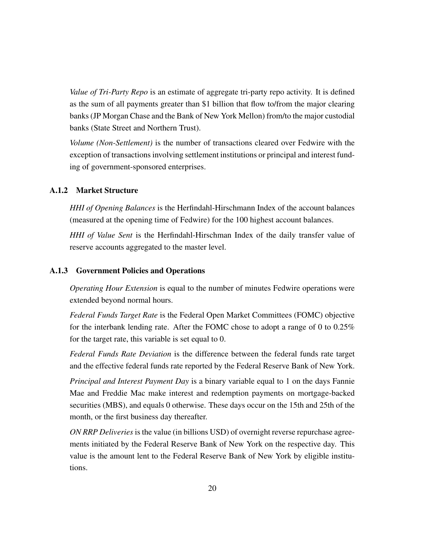*Value of Tri-Party Repo* is an estimate of aggregate tri-party repo activity. It is defined as the sum of all payments greater than \$1 billion that flow to/from the major clearing banks (JP Morgan Chase and the Bank of New York Mellon) from/to the major custodial banks (State Street and Northern Trust).

*Volume (Non-Settlement)* is the number of transactions cleared over Fedwire with the exception of transactions involving settlement institutions or principal and interest funding of government-sponsored enterprises.

#### A.1.2 Market Structure

*HHI of Opening Balances* is the Herfindahl-Hirschmann Index of the account balances (measured at the opening time of Fedwire) for the 100 highest account balances.

*HHI of Value Sent* is the Herfindahl-Hirschman Index of the daily transfer value of reserve accounts aggregated to the master level.

#### A.1.3 Government Policies and Operations

*Operating Hour Extension* is equal to the number of minutes Fedwire operations were extended beyond normal hours.

*Federal Funds Target Rate* is the Federal Open Market Committees (FOMC) objective for the interbank lending rate. After the FOMC chose to adopt a range of 0 to 0.25% for the target rate, this variable is set equal to 0.

*Federal Funds Rate Deviation* is the difference between the federal funds rate target and the effective federal funds rate reported by the Federal Reserve Bank of New York.

*Principal and Interest Payment Day* is a binary variable equal to 1 on the days Fannie Mae and Freddie Mac make interest and redemption payments on mortgage-backed securities (MBS), and equals 0 otherwise. These days occur on the 15th and 25th of the month, or the first business day thereafter.

*ON RRP Deliveries* is the value (in billions USD) of overnight reverse repurchase agreements initiated by the Federal Reserve Bank of New York on the respective day. This value is the amount lent to the Federal Reserve Bank of New York by eligible institutions.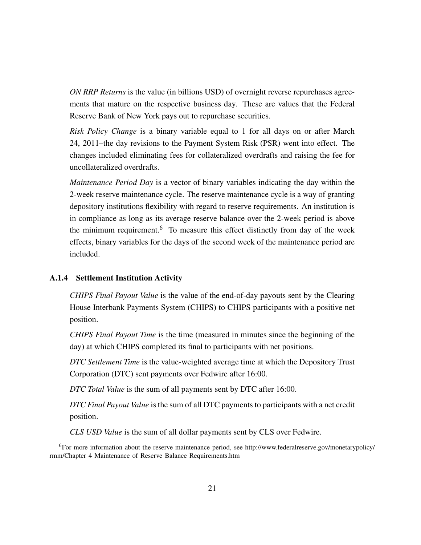*ON RRP Returns* is the value (in billions USD) of overnight reverse repurchases agreements that mature on the respective business day. These are values that the Federal Reserve Bank of New York pays out to repurchase securities.

*Risk Policy Change* is a binary variable equal to 1 for all days on or after March 24, 2011–the day revisions to the Payment System Risk (PSR) went into effect. The changes included eliminating fees for collateralized overdrafts and raising the fee for uncollateralized overdrafts.

*Maintenance Period Day* is a vector of binary variables indicating the day within the 2-week reserve maintenance cycle. The reserve maintenance cycle is a way of granting depository institutions flexibility with regard to reserve requirements. An institution is in compliance as long as its average reserve balance over the 2-week period is above the minimum requirement.<sup>[6](#page-22-0)</sup> To measure this effect distinctly from day of the week effects, binary variables for the days of the second week of the maintenance period are included.

#### A.1.4 Settlement Institution Activity

*CHIPS Final Payout Value* is the value of the end-of-day payouts sent by the Clearing House Interbank Payments System (CHIPS) to CHIPS participants with a positive net position.

*CHIPS Final Payout Time* is the time (measured in minutes since the beginning of the day) at which CHIPS completed its final to participants with net positions.

*DTC Settlement Time* is the value-weighted average time at which the Depository Trust Corporation (DTC) sent payments over Fedwire after 16:00.

*DTC Total Value* is the sum of all payments sent by DTC after 16:00.

*DTC Final Payout Value* is the sum of all DTC payments to participants with a net credit position.

*CLS USD Value* is the sum of all dollar payments sent by CLS over Fedwire.

<span id="page-22-0"></span><sup>6</sup>For more information about the reserve maintenance period, see [http://www.federalreserve.gov/monetarypolicy/](http://www.federalreserve.gov/monetarypolicy/rmm/Chapter_4_Maintenance_of_Reserve_Balance_Requirements.htm) rmm/Chapter 4 Maintenance of Reserve Balance [Requirements.htm](http://www.federalreserve.gov/monetarypolicy/rmm/Chapter_4_Maintenance_of_Reserve_Balance_Requirements.htm)